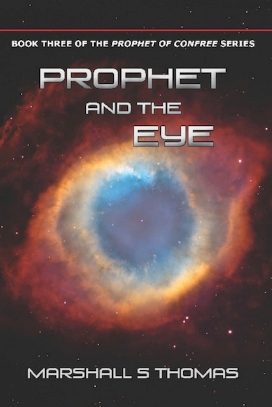**BOOK THREE OF THE PROPHET OF CONFREE SERIES** 

# PROPHET **AND THE** EYE

MARSHALL 5 THOMAS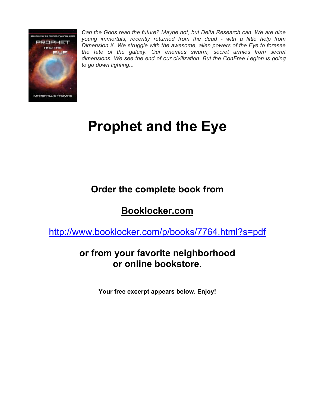

*Can the Gods read the future? Maybe not, but Delta Research can. We are nine young immortals, recently returned from the dead - with a little help from Dimension X. We struggle with the awesome, alien powers of the Eye to foresee the fate of the galaxy. Our enemies swarm, secret armies from secret dimensions. We see the end of our civilization. But the ConFree Legion is going to go down fighting...*

## **Prophet and the Eye**

## **Order the complete book from**

## **Booklocker.com**

http://www.booklocker.com/p/books/7764.html?s=pdf

### **or from your favorite neighborhood or online bookstore.**

**Your free excerpt appears below. Enjoy!**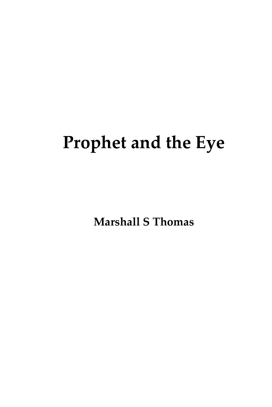## **Prophet and the Eye**

**Marshall S Thomas**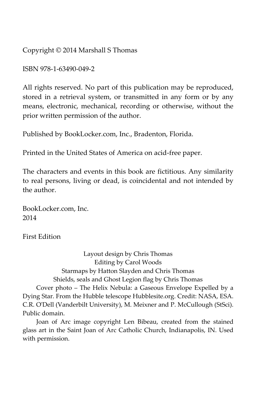Copyright © 2014 Marshall S Thomas

ISBN 978-1-63490-049-2

All rights reserved. No part of this publication may be reproduced, stored in a retrieval system, or transmitted in any form or by any means, electronic, mechanical, recording or otherwise, without the prior written permission of the author.

Published by BookLocker.com, Inc., Bradenton, Florida.

Printed in the United States of America on acid-free paper.

The characters and events in this book are fictitious. Any similarity to real persons, living or dead, is coincidental and not intended by the author.

BookLocker.com, Inc. 2014

First Edition

Layout design by Chris Thomas Editing by Carol Woods Starmaps by Hatton Slayden and Chris Thomas Shields, seals and Ghost Legion flag by Chris Thomas Cover photo – The Helix Nebula: a Gaseous Envelope Expelled by a Dying Star. From the Hubble telescope Hubblesite.org. Credit: NASA, ESA. C.R. O'Dell (Vanderbilt University), M. Meixner and P. McCullough (StSci). Public domain.

Joan of Arc image copyright Len Bibeau, created from the stained glass art in the Saint Joan of Arc Catholic Church, Indianapolis, IN. Used with permission.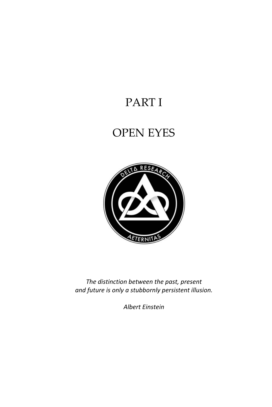## PART I

## OPEN EYES



*The distinction between the past, present and future is only a stubbornly persistent illusion.* 

*Albert Einstein*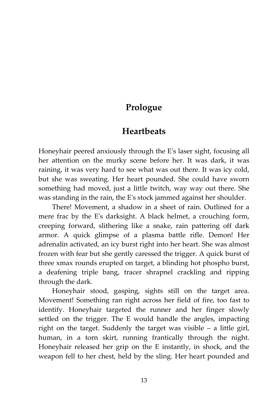#### **Prologue**

#### **Heartbeats**

Honeyhair peered anxiously through the E's laser sight, focusing all her attention on the murky scene before her. It was dark, it was raining, it was very hard to see what was out there. It was icy cold, but she was sweating. Her heart pounded. She could have sworn something had moved, just a little twitch, way way out there. She was standing in the rain, the E's stock jammed against her shoulder.

There! Movement, a shadow in a sheet of rain. Outlined for a mere frac by the E's darksight. A black helmet, a crouching form, creeping forward, slithering like a snake, rain pattering off dark armor. A quick glimpse of a plasma battle rifle. Demon! Her adrenalin activated, an icy burst right into her heart. She was almost frozen with fear but she gently caressed the trigger. A quick burst of three xmax rounds erupted on target, a blinding hot phospho burst, a deafening triple bang, tracer shrapnel crackling and ripping through the dark.

Honeyhair stood, gasping, sights still on the target area. Movement! Something ran right across her field of fire, too fast to identify. Honeyhair targeted the runner and her finger slowly settled on the trigger. The E would handle the angles, impacting right on the target. Suddenly the target was visible – a little girl, human, in a torn skirt, running frantically through the night. Honeyhair released her grip on the E instantly, in shock, and the weapon fell to her chest, held by the sling. Her heart pounded and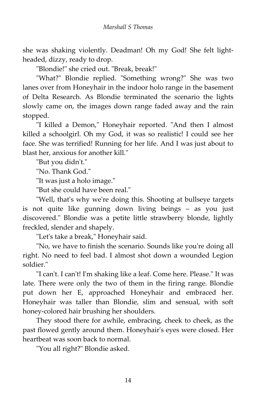she was shaking violently. Deadman! Oh my God! She felt lightheaded, dizzy, ready to drop.

"Blondie!" she cried out. "Break, break!"

"What?" Blondie replied. "Something wrong?" She was two lanes over from Honeyhair in the indoor holo range in the basement of Delta Research. As Blondie terminated the scenario the lights slowly came on, the images down range faded away and the rain stopped.

"I killed a Demon," Honeyhair reported. "And then I almost killed a schoolgirl. Oh my God, it was so realistic! I could see her face. She was terrified! Running for her life. And I was just about to blast her, anxious for another kill."

"But you didn't."

"No. Thank God."

"It was just a holo image."

"But she could have been real."

"Well, that's why we're doing this. Shooting at bullseye targets is not quite like gunning down living beings – as you just discovered." Blondie was a petite little strawberry blonde, lightly freckled, slender and shapely.

"Let's take a break," Honeyhair said.

"No, we have to finish the scenario. Sounds like you're doing all right. No need to feel bad. I almost shot down a wounded Legion soldier."

"I can't. I can't! I'm shaking like a leaf. Come here. Please." It was late. There were only the two of them in the firing range. Blondie put down her E, approached Honeyhair and embraced her. Honeyhair was taller than Blondie, slim and sensual, with soft honey-colored hair brushing her shoulders.

They stood there for awhile, embracing, cheek to cheek, as the past flowed gently around them. Honeyhair's eyes were closed. Her heartbeat was soon back to normal.

"You all right?" Blondie asked.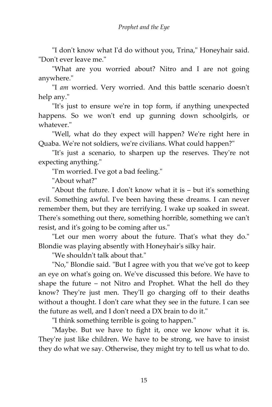"I don't know what I'd do without you, Trina," Honeyhair said. "Don't ever leave me."

"What are you worried about? Nitro and I are not going anywhere."

"I *am* worried. Very worried. And this battle scenario doesn't help any."

"It's just to ensure we're in top form, if anything unexpected happens. So we won't end up gunning down schoolgirls, or whatever."

"Well, what do they expect will happen? We're right here in Quaba. We're not soldiers, we're civilians. What could happen?"

"It's just a scenario, to sharpen up the reserves. They're not expecting anything."

"I'm worried. I've got a bad feeling."

"About what?"

"About the future. I don't know what it is – but it's something evil. Something awful. I've been having these dreams. I can never remember them, but they are terrifying. I wake up soaked in sweat. There's something out there, something horrible, something we can't resist, and it's going to be coming after us."

"Let our men worry about the future. That's what they do." Blondie was playing absently with Honeyhair's silky hair.

"We shouldn't talk about that."

"No," Blondie said. "But I agree with you that we've got to keep an eye on what's going on. We've discussed this before. We have to shape the future – not Nitro and Prophet. What the hell do they know? They're just men. They'll go charging off to their deaths without a thought. I don't care what they see in the future. I can see the future as well, and I don't need a DX brain to do it."

"I think something terrible is going to happen."

"Maybe. But we have to fight it, once we know what it is. They're just like children. We have to be strong, we have to insist they do what we say. Otherwise, they might try to tell us what to do.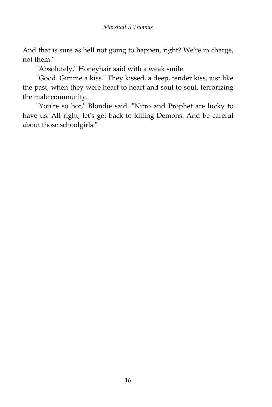And that is sure as hell not going to happen, right? We're in charge, not them."

"Absolutely," Honeyhair said with a weak smile.

"Good. Gimme a kiss." They kissed, a deep, tender kiss, just like the past, when they were heart to heart and soul to soul, terrorizing the male community.

"You're so hot," Blondie said. "Nitro and Prophet are lucky to have us. All right, let's get back to killing Demons. And be careful about those schoolgirls."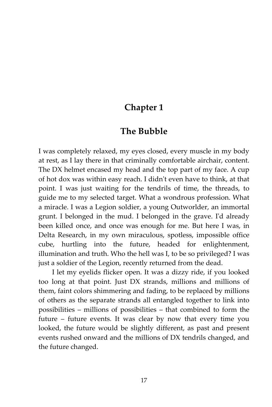#### **Chapter 1**

#### **The Bubble**

I was completely relaxed, my eyes closed, every muscle in my body at rest, as I lay there in that criminally comfortable airchair, content. The DX helmet encased my head and the top part of my face. A cup of hot dox was within easy reach. I didn't even have to think, at that point. I was just waiting for the tendrils of time, the threads, to guide me to my selected target. What a wondrous profession. What a miracle. I was a Legion soldier, a young Outworlder, an immortal grunt. I belonged in the mud. I belonged in the grave. I'd already been killed once, and once was enough for me. But here I was, in Delta Research, in my own miraculous, spotless, impossible office cube, hurtling into the future, headed for enlightenment, illumination and truth. Who the hell was I, to be so privileged? I was just a soldier of the Legion, recently returned from the dead.

I let my eyelids flicker open. It was a dizzy ride, if you looked too long at that point. Just DX strands, millions and millions of them, faint colors shimmering and fading, to be replaced by millions of others as the separate strands all entangled together to link into possibilities – millions of possibilities – that combined to form the future – future events. It was clear by now that every time you looked, the future would be slightly different, as past and present events rushed onward and the millions of DX tendrils changed, and the future changed.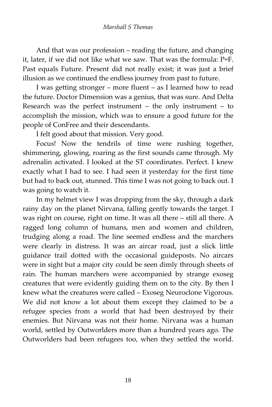And that was our profession – reading the future, and changing it, later, if we did not like what we saw. That was the formula: P=F. Past equals Future. Present did not really exist; it was just a brief illusion as we continued the endless journey from past to future.

I was getting stronger – more fluent – as I learned how to read the future. Doctor Dimension was a genius, that was sure. And Delta Research was the perfect instrument – the only instrument – to accomplish the mission, which was to ensure a good future for the people of ConFree and their descendants.

I felt good about that mission. Very good.

Focus! Now the tendrils of time were rushing together, shimmering, glowing, roaring as the first sounds came through. My adrenalin activated. I looked at the ST coordinates. Perfect. I knew exactly what I had to see. I had seen it yesterday for the first time but had to back out, stunned. This time I was not going to back out. I was going to watch it.

In my helmet view I was dropping from the sky, through a dark rainy day on the planet Nirvana, falling gently towards the target. I was right on course, right on time. It was all there – still all there. A ragged long column of humans, men and women and children, trudging along a road. The line seemed endless and the marchers were clearly in distress. It was an aircar road, just a slick little guidance trail dotted with the occasional guideposts. No aircars were in sight but a major city could be seen dimly through sheets of rain. The human marchers were accompanied by strange exoseg creatures that were evidently guiding them on to the city. By then I knew what the creatures were called – Exoseg Neuroclone Vigorous. We did not know a lot about them except they claimed to be a refugee species from a world that had been destroyed by their enemies. But Nirvana was not their home. Nirvana was a human world, settled by Outworlders more than a hundred years ago. The Outworlders had been refugees too, when they settled the world.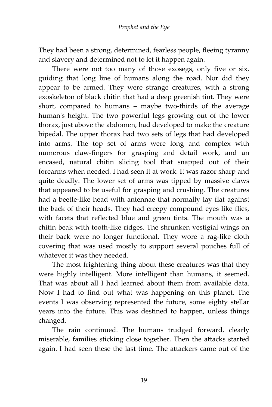They had been a strong, determined, fearless people, fleeing tyranny and slavery and determined not to let it happen again.

There were not too many of those exosegs, only five or six, guiding that long line of humans along the road. Nor did they appear to be armed. They were strange creatures, with a strong exoskeleton of black chitin that had a deep greenish tint. They were short, compared to humans – maybe two-thirds of the average human's height. The two powerful legs growing out of the lower thorax, just above the abdomen, had developed to make the creature bipedal. The upper thorax had two sets of legs that had developed into arms. The top set of arms were long and complex with numerous claw-fingers for grasping and detail work, and an encased, natural chitin slicing tool that snapped out of their forearms when needed. I had seen it at work. It was razor sharp and quite deadly. The lower set of arms was tipped by massive claws that appeared to be useful for grasping and crushing. The creatures had a beetle-like head with antennae that normally lay flat against the back of their heads. They had creepy compound eyes like flies, with facets that reflected blue and green tints. The mouth was a chitin beak with tooth-like ridges. The shrunken vestigial wings on their back were no longer functional. They wore a rag-like cloth covering that was used mostly to support several pouches full of whatever it was they needed.

The most frightening thing about these creatures was that they were highly intelligent. More intelligent than humans, it seemed. That was about all I had learned about them from available data. Now I had to find out what was happening on this planet. The events I was observing represented the future, some eighty stellar years into the future. This was destined to happen, unless things changed.

The rain continued. The humans trudged forward, clearly miserable, families sticking close together. Then the attacks started again. I had seen these the last time. The attackers came out of the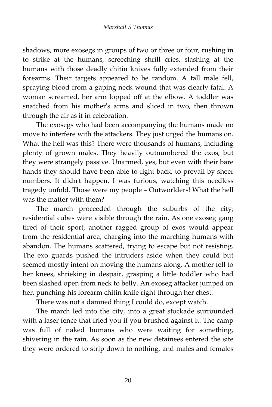shadows, more exosegs in groups of two or three or four, rushing in to strike at the humans, screeching shrill cries, slashing at the humans with those deadly chitin knives fully extended from their forearms. Their targets appeared to be random. A tall male fell, spraying blood from a gaping neck wound that was clearly fatal. A woman screamed, her arm lopped off at the elbow. A toddler was snatched from his mother's arms and sliced in two, then thrown through the air as if in celebration.

The exosegs who had been accompanying the humans made no move to interfere with the attackers. They just urged the humans on. What the hell was this? There were thousands of humans, including plenty of grown males. They heavily outnumbered the exos, but they were strangely passive. Unarmed, yes, but even with their bare hands they should have been able to fight back, to prevail by sheer numbers. It didn't happen. I was furious, watching this needless tragedy unfold. Those were my people – Outworlders! What the hell was the matter with them?

The march proceeded through the suburbs of the city; residential cubes were visible through the rain. As one exoseg gang tired of their sport, another ragged group of exos would appear from the residential area, charging into the marching humans with abandon. The humans scattered, trying to escape but not resisting. The exo guards pushed the intruders aside when they could but seemed mostly intent on moving the humans along. A mother fell to her knees, shrieking in despair, grasping a little toddler who had been slashed open from neck to belly. An exoseg attacker jumped on her, punching his forearm chitin knife right through her chest.

There was not a damned thing I could do, except watch.

The march led into the city, into a great stockade surrounded with a laser fence that fried you if you brushed against it. The camp was full of naked humans who were waiting for something, shivering in the rain. As soon as the new detainees entered the site they were ordered to strip down to nothing, and males and females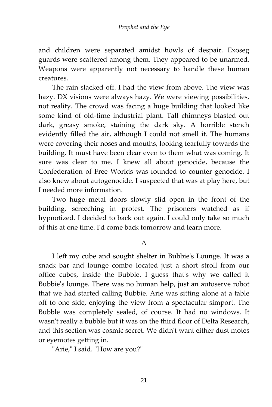and children were separated amidst howls of despair. Exoseg guards were scattered among them. They appeared to be unarmed. Weapons were apparently not necessary to handle these human creatures.

The rain slacked off. I had the view from above. The view was hazy. DX visions were always hazy. We were viewing possibilities, not reality. The crowd was facing a huge building that looked like some kind of old-time industrial plant. Tall chimneys blasted out dark, greasy smoke, staining the dark sky. A horrible stench evidently filled the air, although I could not smell it. The humans were covering their noses and mouths, looking fearfully towards the building. It must have been clear even to them what was coming. It sure was clear to me. I knew all about genocide, because the Confederation of Free Worlds was founded to counter genocide. I also knew about autogenocide. I suspected that was at play here, but I needed more information.

Two huge metal doors slowly slid open in the front of the building, screeching in protest. The prisoners watched as if hypnotized. I decided to back out again. I could only take so much of this at one time. I'd come back tomorrow and learn more.

Δ

I left my cube and sought shelter in Bubbie's Lounge. It was a snack bar and lounge combo located just a short stroll from our office cubes, inside the Bubble. I guess that's why we called it Bubbie's lounge. There was no human help, just an autoserve robot that we had started calling Bubbie. Arie was sitting alone at a table off to one side, enjoying the view from a spectacular simport. The Bubble was completely sealed, of course. It had no windows. It wasn't really a bubble but it was on the third floor of Delta Research, and this section was cosmic secret. We didn't want either dust motes or eyemotes getting in.

"Arie," I said. "How are you?"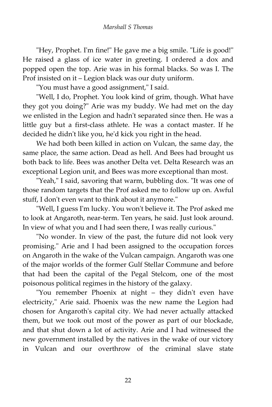"Hey, Prophet. I'm fine!" He gave me a big smile. "Life is good!" He raised a glass of ice water in greeting. I ordered a dox and popped open the top. Arie was in his formal blacks. So was I. The Prof insisted on it – Legion black was our duty uniform.

"You must have a good assignment," I said.

"Well, I do, Prophet. You look kind of grim, though. What have they got you doing?" Arie was my buddy. We had met on the day we enlisted in the Legion and hadn't separated since then. He was a little guy but a first-class athlete. He was a contact master. If he decided he didn't like you, he'd kick you right in the head.

We had both been killed in action on Vulcan, the same day, the same place, the same action. Dead as hell. And Bees had brought us both back to life. Bees was another Delta vet. Delta Research was an exceptional Legion unit, and Bees was more exceptional than most.

"Yeah," I said, savoring that warm, bubbling dox. "It was one of those random targets that the Prof asked me to follow up on. Awful stuff, I don't even want to think about it anymore."

"Well, I guess I'm lucky. You won't believe it. The Prof asked me to look at Angaroth, near-term. Ten years, he said. Just look around. In view of what you and I had seen there, I was really curious."

"No wonder. In view of the past, the future did not look very promising." Arie and I had been assigned to the occupation forces on Angaroth in the wake of the Vulcan campaign. Angaroth was one of the major worlds of the former Gulf Stellar Commune and before that had been the capital of the Pegal Stelcom, one of the most poisonous political regimes in the history of the galaxy.

"You remember Phoenix at night – they didn't even have electricity," Arie said. Phoenix was the new name the Legion had chosen for Angaroth's capital city. We had never actually attacked them, but we took out most of the power as part of our blockade, and that shut down a lot of activity. Arie and I had witnessed the new government installed by the natives in the wake of our victory in Vulcan and our overthrow of the criminal slave state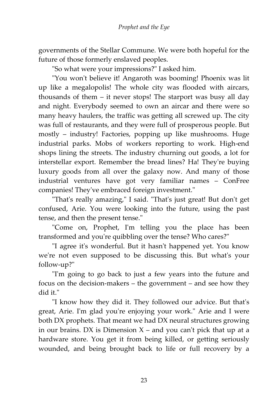governments of the Stellar Commune. We were both hopeful for the future of those formerly enslaved peoples.

"So what were your impressions?" I asked him.

"You won't believe it! Angaroth was booming! Phoenix was lit up like a megalopolis! The whole city was flooded with aircars, thousands of them – it never stops! The starport was busy all day and night. Everybody seemed to own an aircar and there were so many heavy haulers, the traffic was getting all screwed up. The city was full of restaurants, and they were full of prosperous people. But mostly – industry! Factories, popping up like mushrooms. Huge industrial parks. Mobs of workers reporting to work. High-end shops lining the streets. The industry churning out goods, a lot for interstellar export. Remember the bread lines? Ha! They're buying luxury goods from all over the galaxy now. And many of those industrial ventures have got very familiar names – ConFree companies! They've embraced foreign investment."

"That's really amazing," I said. "That's just great! But don't get confused, Arie. You were looking into the future, using the past tense, and then the present tense."

"Come on, Prophet, I'm telling you the place has been transformed and you're quibbling over the tense? Who cares?"

"I agree it's wonderful. But it hasn't happened yet. You know we're not even supposed to be discussing this. But what's your follow-up?"

"I'm going to go back to just a few years into the future and focus on the decision-makers – the government – and see how they did it."

"I know how they did it. They followed our advice. But that's great, Arie. I'm glad you're enjoying your work." Arie and I were both DX prophets. That meant we had DX neural structures growing in our brains. DX is Dimension  $X$  – and you can't pick that up at a hardware store. You get it from being killed, or getting seriously wounded, and being brought back to life or full recovery by a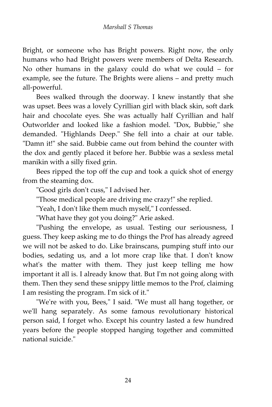Bright, or someone who has Bright powers. Right now, the only humans who had Bright powers were members of Delta Research. No other humans in the galaxy could do what we could – for example, see the future. The Brights were aliens – and pretty much all-powerful.

Bees walked through the doorway. I knew instantly that she was upset. Bees was a lovely Cyrillian girl with black skin, soft dark hair and chocolate eyes. She was actually half Cyrillian and half Outworlder and looked like a fashion model. "Dox, Bubbie," she demanded. "Highlands Deep." She fell into a chair at our table. "Damn it!" she said. Bubbie came out from behind the counter with the dox and gently placed it before her. Bubbie was a sexless metal manikin with a silly fixed grin.

Bees ripped the top off the cup and took a quick shot of energy from the steaming dox.

"Good girls don't cuss," I advised her.

"Those medical people are driving me crazy!" she replied.

"Yeah, I don't like them much myself," I confessed.

"What have they got you doing?" Arie asked.

"Pushing the envelope, as usual. Testing our seriousness, I guess. They keep asking me to do things the Prof has already agreed we will not be asked to do. Like brainscans, pumping stuff into our bodies, sedating us, and a lot more crap like that. I don't know what's the matter with them. They just keep telling me how important it all is. I already know that. But I'm not going along with them. Then they send these snippy little memos to the Prof, claiming I am resisting the program. I'm sick of it."

"We're with you, Bees," I said. "We must all hang together, or we'll hang separately. As some famous revolutionary historical person said, I forget who. Except his country lasted a few hundred years before the people stopped hanging together and committed national suicide."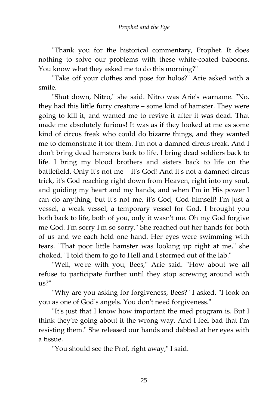"Thank you for the historical commentary, Prophet. It does nothing to solve our problems with these white-coated baboons. You know what they asked me to do this morning?"

"Take off your clothes and pose for holos?" Arie asked with a smile.

"Shut down, Nitro," she said. Nitro was Arie's warname. "No, they had this little furry creature – some kind of hamster. They were going to kill it, and wanted me to revive it after it was dead. That made me absolutely furious! It was as if they looked at me as some kind of circus freak who could do bizarre things, and they wanted me to demonstrate it for them. I'm not a damned circus freak. And I don't bring dead hamsters back to life. I bring dead soldiers back to life. I bring my blood brothers and sisters back to life on the battlefield. Only it's not me – it's God! And it's not a damned circus trick, it's God reaching right down from Heaven, right into my soul, and guiding my heart and my hands, and when I'm in His power I can do anything, but it's not me, it's God, God himself! I'm just a vessel, a weak vessel, a temporary vessel for God. I brought you both back to life, both of you, only it wasn't me. Oh my God forgive me God. I'm sorry I'm so sorry." She reached out her hands for both of us and we each held one hand. Her eyes were swimming with tears. "That poor little hamster was looking up right at me," she choked. "I told them to go to Hell and I stormed out of the lab."

"Well, we're with you, Bees," Arie said. "How about we all refuse to participate further until they stop screwing around with us?"

"Why are you asking for forgiveness, Bees?" I asked. "I look on you as one of God's angels. You don't need forgiveness."

"It's just that I know how important the med program is. But I think they're going about it the wrong way. And I feel bad that I'm resisting them." She released our hands and dabbed at her eyes with a tissue.

"You should see the Prof, right away," I said.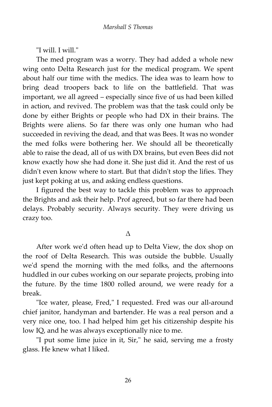"I will. I will."

The med program was a worry. They had added a whole new wing onto Delta Research just for the medical program. We spent about half our time with the medics. The idea was to learn how to bring dead troopers back to life on the battlefield. That was important, we all agreed – especially since five of us had been killed in action, and revived. The problem was that the task could only be done by either Brights or people who had DX in their brains. The Brights were aliens. So far there was only one human who had succeeded in reviving the dead, and that was Bees. It was no wonder the med folks were bothering her. We should all be theoretically able to raise the dead, all of us with DX brains, but even Bees did not know exactly how she had done it. She just did it. And the rest of us didn't even know where to start. But that didn't stop the lifies. They just kept poking at us, and asking endless questions.

I figured the best way to tackle this problem was to approach the Brights and ask their help. Prof agreed, but so far there had been delays. Probably security. Always security. They were driving us crazy too.

Δ

After work we'd often head up to Delta View, the dox shop on the roof of Delta Research. This was outside the bubble. Usually we'd spend the morning with the med folks, and the afternoons huddled in our cubes working on our separate projects, probing into the future. By the time 1800 rolled around, we were ready for a break.

"Ice water, please, Fred," I requested. Fred was our all-around chief janitor, handyman and bartender. He was a real person and a very nice one, too. I had helped him get his citizenship despite his low IQ, and he was always exceptionally nice to me.

"I put some lime juice in it, Sir," he said, serving me a frosty glass. He knew what I liked.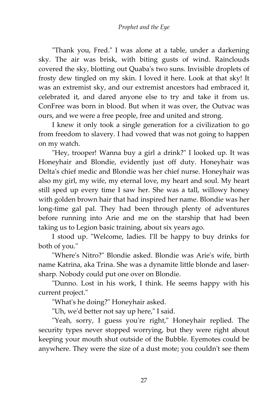"Thank you, Fred." I was alone at a table, under a darkening sky. The air was brisk, with biting gusts of wind. Rainclouds covered the sky, blotting out Quaba's two suns. Invisible droplets of frosty dew tingled on my skin. I loved it here. Look at that sky! It was an extremist sky, and our extremist ancestors had embraced it, celebrated it, and dared anyone else to try and take it from us. ConFree was born in blood. But when it was over, the Outvac was ours, and we were a free people, free and united and strong.

I knew it only took a single generation for a civilization to go from freedom to slavery. I had vowed that was not going to happen on my watch.

"Hey, trooper! Wanna buy a girl a drink?" I looked up. It was Honeyhair and Blondie, evidently just off duty. Honeyhair was Delta's chief medic and Blondie was her chief nurse. Honeyhair was also my girl, my wife, my eternal love, my heart and soul. My heart still sped up every time I saw her. She was a tall, willowy honey with golden brown hair that had inspired her name. Blondie was her long-time gal pal. They had been through plenty of adventures before running into Arie and me on the starship that had been taking us to Legion basic training, about six years ago.

I stood up. "Welcome, ladies. I'll be happy to buy drinks for both of you."

"Where's Nitro?" Blondie asked. Blondie was Arie's wife, birth name Katrina, aka Trina. She was a dynamite little blonde and lasersharp. Nobody could put one over on Blondie.

"Dunno. Lost in his work, I think. He seems happy with his current project."

"What's he doing?" Honeyhair asked.

"Uh, we'd better not say up here," I said.

"Yeah, sorry, I guess you're right," Honeyhair replied. The security types never stopped worrying, but they were right about keeping your mouth shut outside of the Bubble. Eyemotes could be anywhere. They were the size of a dust mote; you couldn't see them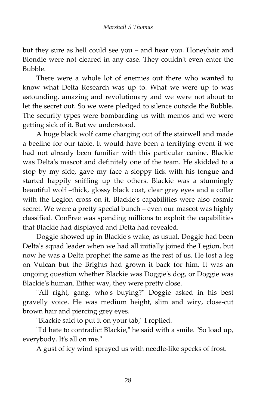but they sure as hell could see you – and hear you. Honeyhair and Blondie were not cleared in any case. They couldn't even enter the Bubble.

There were a whole lot of enemies out there who wanted to know what Delta Research was up to. What we were up to was astounding, amazing and revolutionary and we were not about to let the secret out. So we were pledged to silence outside the Bubble. The security types were bombarding us with memos and we were getting sick of it. But we understood.

A huge black wolf came charging out of the stairwell and made a beeline for our table. It would have been a terrifying event if we had not already been familiar with this particular canine. Blackie was Delta's mascot and definitely one of the team. He skidded to a stop by my side, gave my face a sloppy lick with his tongue and started happily sniffing up the others. Blackie was a stunningly beautiful wolf –thick, glossy black coat, clear grey eyes and a collar with the Legion cross on it. Blackie's capabilities were also cosmic secret. We were a pretty special bunch – even our mascot was highly classified. ConFree was spending millions to exploit the capabilities that Blackie had displayed and Delta had revealed.

Doggie showed up in Blackie's wake, as usual. Doggie had been Delta's squad leader when we had all initially joined the Legion, but now he was a Delta prophet the same as the rest of us. He lost a leg on Vulcan but the Brights had grown it back for him. It was an ongoing question whether Blackie was Doggie's dog, or Doggie was Blackie's human. Either way, they were pretty close.

"All right, gang, who's buying?" Doggie asked in his best gravelly voice. He was medium height, slim and wiry, close-cut brown hair and piercing grey eyes.

"Blackie said to put it on your tab," I replied.

"I'd hate to contradict Blackie," he said with a smile. "So load up, everybody. It's all on me."

A gust of icy wind sprayed us with needle-like specks of frost.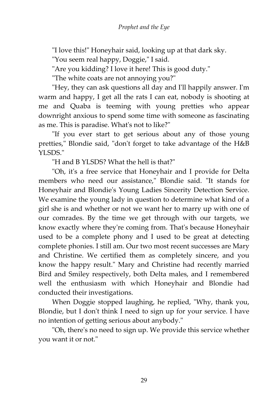"I love this!" Honeyhair said, looking up at that dark sky.

"You seem real happy, Doggie," I said.

"Are you kidding? I love it here! This is good duty."

"The white coats are not annoying you?"

"Hey, they can ask questions all day and I'll happily answer. I'm warm and happy, I get all the rats I can eat, nobody is shooting at me and Quaba is teeming with young pretties who appear downright anxious to spend some time with someone as fascinating as me. This is paradise. What's not to like?"

"If you ever start to get serious about any of those young pretties," Blondie said, "don't forget to take advantage of the H&B YLSDS."

"H and B YLSDS? What the hell is that?"

"Oh, it's a free service that Honeyhair and I provide for Delta members who need our assistance," Blondie said. "It stands for Honeyhair and Blondie's Young Ladies Sincerity Detection Service. We examine the young lady in question to determine what kind of a girl she is and whether or not we want her to marry up with one of our comrades. By the time we get through with our targets, we know exactly where they're coming from. That's because Honeyhair used to be a complete phony and I used to be great at detecting complete phonies. I still am. Our two most recent successes are Mary and Christine. We certified them as completely sincere, and you know the happy result." Mary and Christine had recently married Bird and Smiley respectively, both Delta males, and I remembered well the enthusiasm with which Honeyhair and Blondie had conducted their investigations.

When Doggie stopped laughing, he replied, "Why, thank you, Blondie, but I don't think I need to sign up for your service. I have no intention of getting serious about anybody."

"Oh, there's no need to sign up. We provide this service whether you want it or not."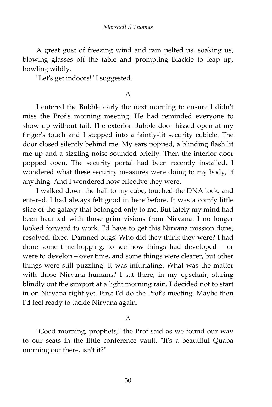A great gust of freezing wind and rain pelted us, soaking us, blowing glasses off the table and prompting Blackie to leap up, howling wildly.

"Let's get indoors!" I suggested.

#### Δ

I entered the Bubble early the next morning to ensure I didn't miss the Prof's morning meeting. He had reminded everyone to show up without fail. The exterior Bubble door hissed open at my finger's touch and I stepped into a faintly-lit security cubicle. The door closed silently behind me. My ears popped, a blinding flash lit me up and a sizzling noise sounded briefly. Then the interior door popped open. The security portal had been recently installed. I wondered what these security measures were doing to my body, if anything. And I wondered how effective they were.

I walked down the hall to my cube, touched the DNA lock, and entered. I had always felt good in here before. It was a comfy little slice of the galaxy that belonged only to me. But lately my mind had been haunted with those grim visions from Nirvana. I no longer looked forward to work. I'd have to get this Nirvana mission done, resolved, fixed. Damned bugs! Who did they think they were? I had done some time-hopping, to see how things had developed – or were to develop – over time, and some things were clearer, but other things were still puzzling. It was infuriating. What was the matter with those Nirvana humans? I sat there, in my opschair, staring blindly out the simport at a light morning rain. I decided not to start in on Nirvana right yet. First I'd do the Prof's meeting. Maybe then I'd feel ready to tackle Nirvana again.

#### Δ

"Good morning, prophets," the Prof said as we found our way to our seats in the little conference vault. "It's a beautiful Quaba morning out there, isn't it?"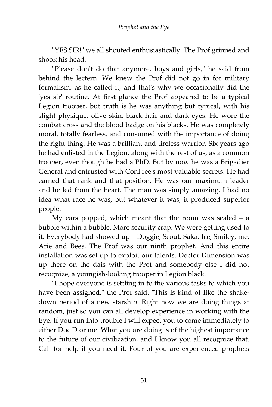"YES SIR!" we all shouted enthusiastically. The Prof grinned and shook his head.

"Please don't do that anymore, boys and girls," he said from behind the lectern. We knew the Prof did not go in for military formalism, as he called it, and that's why we occasionally did the 'yes sir' routine. At first glance the Prof appeared to be a typical Legion trooper, but truth is he was anything but typical, with his slight physique, olive skin, black hair and dark eyes. He wore the combat cross and the blood badge on his blacks. He was completely moral, totally fearless, and consumed with the importance of doing the right thing. He was a brilliant and tireless warrior. Six years ago he had enlisted in the Legion, along with the rest of us, as a common trooper, even though he had a PhD. But by now he was a Brigadier General and entrusted with ConFree's most valuable secrets. He had earned that rank and that position. He was our maximum leader and he led from the heart. The man was simply amazing. I had no idea what race he was, but whatever it was, it produced superior people.

My ears popped, which meant that the room was sealed – a bubble within a bubble. More security crap. We were getting used to it. Everybody had showed up – Doggie, Scout, Saka, Ice, Smiley, me, Arie and Bees. The Prof was our ninth prophet. And this entire installation was set up to exploit our talents. Doctor Dimension was up there on the dais with the Prof and somebody else I did not recognize, a youngish-looking trooper in Legion black.

"I hope everyone is settling in to the various tasks to which you have been assigned," the Prof said. "This is kind of like the shakedown period of a new starship. Right now we are doing things at random, just so you can all develop experience in working with the Eye. If you run into trouble I will expect you to come immediately to either Doc D or me. What you are doing is of the highest importance to the future of our civilization, and I know you all recognize that. Call for help if you need it. Four of you are experienced prophets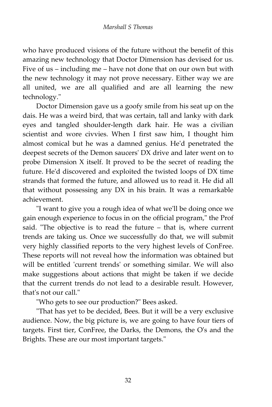who have produced visions of the future without the benefit of this amazing new technology that Doctor Dimension has devised for us. Five of us – including me – have not done that on our own but with the new technology it may not prove necessary. Either way we are all united, we are all qualified and are all learning the new technology."

Doctor Dimension gave us a goofy smile from his seat up on the dais. He was a weird bird, that was certain, tall and lanky with dark eyes and tangled shoulder-length dark hair. He was a civilian scientist and wore civvies. When I first saw him, I thought him almost comical but he was a damned genius. He'd penetrated the deepest secrets of the Demon saucers' DX drive and later went on to probe Dimension X itself. It proved to be the secret of reading the future. He'd discovered and exploited the twisted loops of DX time strands that formed the future, and allowed us to read it. He did all that without possessing any DX in his brain. It was a remarkable achievement.

"I want to give you a rough idea of what we'll be doing once we gain enough experience to focus in on the official program," the Prof said. "The objective is to read the future – that is, where current trends are taking us. Once we successfully do that, we will submit very highly classified reports to the very highest levels of ConFree. These reports will not reveal how the information was obtained but will be entitled 'current trends' or something similar. We will also make suggestions about actions that might be taken if we decide that the current trends do not lead to a desirable result. However, that's not our call."

"Who gets to see our production?" Bees asked.

"That has yet to be decided, Bees. But it will be a very exclusive audience. Now, the big picture is, we are going to have four tiers of targets. First tier, ConFree, the Darks, the Demons, the O's and the Brights. These are our most important targets."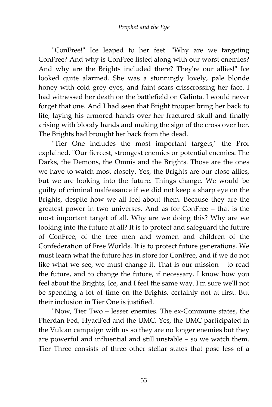"ConFree!" Ice leaped to her feet. "Why are we targeting ConFree? And why is ConFree listed along with our worst enemies? And why are the Brights included there? They're our allies!" Ice looked quite alarmed. She was a stunningly lovely, pale blonde honey with cold grey eyes, and faint scars crisscrossing her face. I had witnessed her death on the battlefield on Galinta. I would never forget that one. And I had seen that Bright trooper bring her back to life, laying his armored hands over her fractured skull and finally arising with bloody hands and making the sign of the cross over her. The Brights had brought her back from the dead.

"Tier One includes the most important targets," the Prof explained. "Our fiercest, strongest enemies or potential enemies. The Darks, the Demons, the Omnis and the Brights. Those are the ones we have to watch most closely. Yes, the Brights are our close allies, but we are looking into the future. Things change. We would be guilty of criminal malfeasance if we did not keep a sharp eye on the Brights, despite how we all feel about them. Because they are the greatest power in two universes. And as for ConFree – that is the most important target of all. Why are we doing this? Why are we looking into the future at all? It is to protect and safeguard the future of ConFree, of the free men and women and children of the Confederation of Free Worlds. It is to protect future generations. We must learn what the future has in store for ConFree, and if we do not like what we see, we must change it. That is our mission – to read the future, and to change the future, if necessary. I know how you feel about the Brights, Ice, and I feel the same way. I'm sure we'll not be spending a lot of time on the Brights, certainly not at first. But their inclusion in Tier One is justified.

"Now, Tier Two – lesser enemies. The ex-Commune states, the Pherdan Fed, HyadFed and the UMC. Yes, the UMC participated in the Vulcan campaign with us so they are no longer enemies but they are powerful and influential and still unstable – so we watch them. Tier Three consists of three other stellar states that pose less of a

33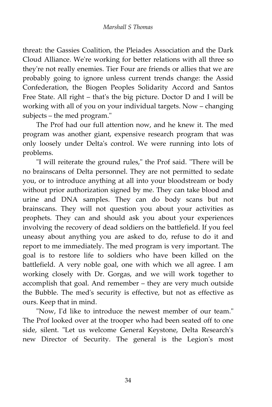threat: the Gassies Coalition, the Pleiades Association and the Dark Cloud Alliance. We're working for better relations with all three so they're not really enemies. Tier Four are friends or allies that we are probably going to ignore unless current trends change: the Assid Confederation, the Biogen Peoples Solidarity Accord and Santos Free State. All right – that's the big picture. Doctor D and I will be working with all of you on your individual targets. Now – changing subjects – the med program."

The Prof had our full attention now, and he knew it. The med program was another giant, expensive research program that was only loosely under Delta's control. We were running into lots of problems.

"I will reiterate the ground rules," the Prof said. "There will be no brainscans of Delta personnel. They are not permitted to sedate you, or to introduce anything at all into your bloodstream or body without prior authorization signed by me. They can take blood and urine and DNA samples. They can do body scans but not brainscans. They will not question you about your activities as prophets. They can and should ask you about your experiences involving the recovery of dead soldiers on the battlefield. If you feel uneasy about anything you are asked to do, refuse to do it and report to me immediately. The med program is very important. The goal is to restore life to soldiers who have been killed on the battlefield. A very noble goal, one with which we all agree. I am working closely with Dr. Gorgas, and we will work together to accomplish that goal. And remember – they are very much outside the Bubble. The med's security is effective, but not as effective as ours. Keep that in mind.

"Now, I'd like to introduce the newest member of our team." The Prof looked over at the trooper who had been seated off to one side, silent. "Let us welcome General Keystone, Delta Research's new Director of Security. The general is the Legion's most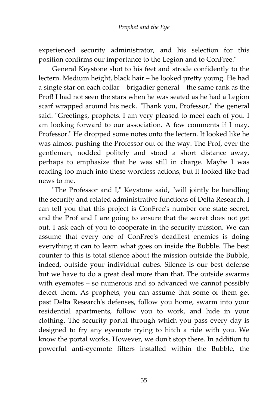experienced security administrator, and his selection for this position confirms our importance to the Legion and to ConFree."

General Keystone shot to his feet and strode confidently to the lectern. Medium height, black hair – he looked pretty young. He had a single star on each collar – brigadier general – the same rank as the Prof! I had not seen the stars when he was seated as he had a Legion scarf wrapped around his neck. "Thank you, Professor," the general said. "Greetings, prophets. I am very pleased to meet each of you. I am looking forward to our association. A few comments if I may, Professor." He dropped some notes onto the lectern. It looked like he was almost pushing the Professor out of the way. The Prof, ever the gentleman, nodded politely and stood a short distance away, perhaps to emphasize that he was still in charge. Maybe I was reading too much into these wordless actions, but it looked like bad news to me.

"The Professor and I," Keystone said, "will jointly be handling the security and related administrative functions of Delta Research. I can tell you that this project is ConFree's number one state secret, and the Prof and I are going to ensure that the secret does not get out. I ask each of you to cooperate in the security mission. We can assume that every one of ConFree's deadliest enemies is doing everything it can to learn what goes on inside the Bubble. The best counter to this is total silence about the mission outside the Bubble, indeed, outside your individual cubes. Silence is our best defense but we have to do a great deal more than that. The outside swarms with eyemotes – so numerous and so advanced we cannot possibly detect them. As prophets, you can assume that some of them get past Delta Research's defenses, follow you home, swarm into your residential apartments, follow you to work, and hide in your clothing. The security portal through which you pass every day is designed to fry any eyemote trying to hitch a ride with you. We know the portal works. However, we don't stop there. In addition to powerful anti-eyemote filters installed within the Bubble, the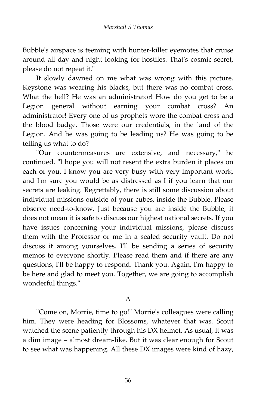Bubble's airspace is teeming with hunter-killer eyemotes that cruise around all day and night looking for hostiles. That's cosmic secret, please do not repeat it."

It slowly dawned on me what was wrong with this picture. Keystone was wearing his blacks, but there was no combat cross. What the hell? He was an administrator! How do you get to be a Legion general without earning your combat cross? An administrator! Every one of us prophets wore the combat cross and the blood badge. Those were our credentials, in the land of the Legion. And he was going to be leading us? He was going to be telling us what to do?

"Our countermeasures are extensive, and necessary," he continued. "I hope you will not resent the extra burden it places on each of you. I know you are very busy with very important work, and I'm sure you would be as distressed as I if you learn that our secrets are leaking. Regrettably, there is still some discussion about individual missions outside of your cubes, inside the Bubble. Please observe need-to-know. Just because you are inside the Bubble, it does not mean it is safe to discuss our highest national secrets. If you have issues concerning your individual missions, please discuss them with the Professor or me in a sealed security vault. Do not discuss it among yourselves. I'll be sending a series of security memos to everyone shortly. Please read them and if there are any questions, I'll be happy to respond. Thank you. Again, I'm happy to be here and glad to meet you. Together, we are going to accomplish wonderful things."

#### Δ

"Come on, Morrie, time to go!" Morrie's colleagues were calling him. They were heading for Blossoms, whatever that was. Scout watched the scene patiently through his DX helmet. As usual, it was a dim image – almost dream-like. But it was clear enough for Scout to see what was happening. All these DX images were kind of hazy,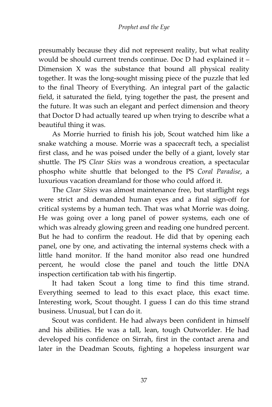presumably because they did not represent reality, but what reality would be should current trends continue. Doc D had explained it – Dimension X was the substance that bound all physical reality together. It was the long-sought missing piece of the puzzle that led to the final Theory of Everything. An integral part of the galactic field, it saturated the field, tying together the past, the present and the future. It was such an elegant and perfect dimension and theory that Doctor D had actually teared up when trying to describe what a beautiful thing it was.

As Morrie hurried to finish his job, Scout watched him like a snake watching a mouse. Morrie was a spacecraft tech, a specialist first class, and he was poised under the belly of a giant, lovely star shuttle. The PS *Clear Skies* was a wondrous creation, a spectacular phospho white shuttle that belonged to the PS *Coral Paradise*, a luxurious vacation dreamland for those who could afford it.

The *Clear Skies* was almost maintenance free, but starflight regs were strict and demanded human eyes and a final sign-off for critical systems by a human tech. That was what Morrie was doing. He was going over a long panel of power systems, each one of which was already glowing green and reading one hundred percent. But he had to confirm the readout. He did that by opening each panel, one by one, and activating the internal systems check with a little hand monitor. If the hand monitor also read one hundred percent, he would close the panel and touch the little DNA inspection certification tab with his fingertip.

It had taken Scout a long time to find this time strand. Everything seemed to lead to this exact place, this exact time. Interesting work, Scout thought. I guess I can do this time strand business. Unusual, but I can do it.

Scout was confident. He had always been confident in himself and his abilities. He was a tall, lean, tough Outworlder. He had developed his confidence on Sirrah, first in the contact arena and later in the Deadman Scouts, fighting a hopeless insurgent war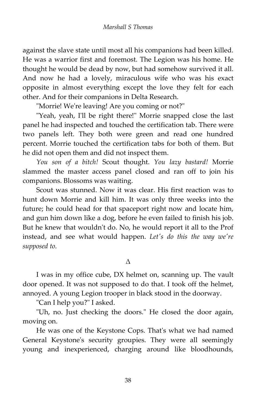against the slave state until most all his companions had been killed. He was a warrior first and foremost. The Legion was his home. He thought he would be dead by now, but had somehow survived it all. And now he had a lovely, miraculous wife who was his exact opposite in almost everything except the love they felt for each other. And for their companions in Delta Research.

"Morrie! We're leaving! Are you coming or not?"

"Yeah, yeah, I'll be right there!" Morrie snapped close the last panel he had inspected and touched the certification tab. There were two panels left. They both were green and read one hundred percent. Morrie touched the certification tabs for both of them. But he did not open them and did not inspect them.

*You son of a bitch!* Scout thought. *You lazy bastard!* Morrie slammed the master access panel closed and ran off to join his companions. Blossoms was waiting.

Scout was stunned. Now it was clear. His first reaction was to hunt down Morrie and kill him. It was only three weeks into the future; he could head for that spaceport right now and locate him, and gun him down like a dog, before he even failed to finish his job. But he knew that wouldn't do. No, he would report it all to the Prof instead, and see what would happen. *Let's do this the way we're supposed to*.

#### Δ

I was in my office cube, DX helmet on, scanning up. The vault door opened. It was not supposed to do that. I took off the helmet, annoyed. A young Legion trooper in black stood in the doorway.

"Can I help you?" I asked.

"Uh, no. Just checking the doors." He closed the door again, moving on.

He was one of the Keystone Cops. That's what we had named General Keystone's security groupies. They were all seemingly young and inexperienced, charging around like bloodhounds,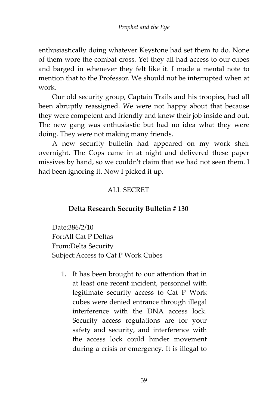#### *Prophet and the Eye*

enthusiastically doing whatever Keystone had set them to do. None of them wore the combat cross. Yet they all had access to our cubes and barged in whenever they felt like it. I made a mental note to mention that to the Professor. We should not be interrupted when at work.

Our old security group, Captain Trails and his troopies, had all been abruptly reassigned. We were not happy about that because they were competent and friendly and knew their job inside and out. The new gang was enthusiastic but had no idea what they were doing. They were not making many friends.

A new security bulletin had appeared on my work shelf overnight. The Cops came in at night and delivered these paper missives by hand, so we couldn't claim that we had not seen them. I had been ignoring it. Now I picked it up.

#### ALL SECRET

#### **Delta Research Security Bulletin # 130**

Date:386/2/10 For:All Cat P Deltas From:Delta Security Subject:Access to Cat P Work Cubes

1. It has been brought to our attention that in at least one recent incident, personnel with legitimate security access to Cat P Work cubes were denied entrance through illegal interference with the DNA access lock. Security access regulations are for your safety and security, and interference with the access lock could hinder movement during a crisis or emergency. It is illegal to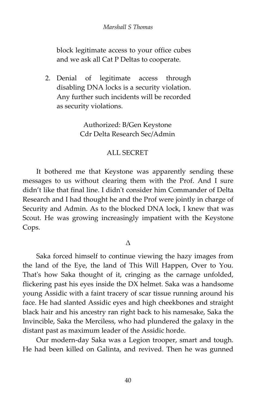block legitimate access to your office cubes and we ask all Cat P Deltas to cooperate.

2. Denial of legitimate access through disabling DNA locks is a security violation. Any further such incidents will be recorded as security violations.

> Authorized: B/Gen Keystone Cdr Delta Research Sec/Admin

#### ALL SECRET

It bothered me that Keystone was apparently sending these messages to us without clearing them with the Prof. And I sure didn't like that final line. I didn't consider him Commander of Delta Research and I had thought he and the Prof were jointly in charge of Security and Admin. As to the blocked DNA lock, I knew that was Scout. He was growing increasingly impatient with the Keystone Cops.

#### Δ

Saka forced himself to continue viewing the hazy images from the land of the Eye, the land of This Will Happen, Over to You. That's how Saka thought of it, cringing as the carnage unfolded, flickering past his eyes inside the DX helmet. Saka was a handsome young Assidic with a faint tracery of scar tissue running around his face. He had slanted Assidic eyes and high cheekbones and straight black hair and his ancestry ran right back to his namesake, Saka the Invincible, Saka the Merciless, who had plundered the galaxy in the distant past as maximum leader of the Assidic horde.

Our modern-day Saka was a Legion trooper, smart and tough. He had been killed on Galinta, and revived. Then he was gunned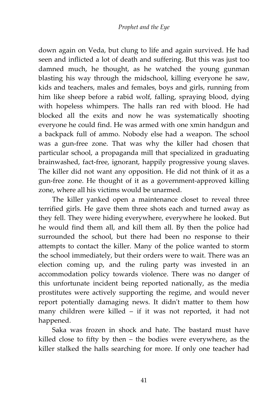down again on Veda, but clung to life and again survived. He had seen and inflicted a lot of death and suffering. But this was just too damned much, he thought, as he watched the young gunman blasting his way through the midschool, killing everyone he saw, kids and teachers, males and females, boys and girls, running from him like sheep before a rabid wolf, falling, spraying blood, dying with hopeless whimpers. The halls ran red with blood. He had blocked all the exits and now he was systematically shooting everyone he could find. He was armed with one xmin handgun and a backpack full of ammo. Nobody else had a weapon. The school was a gun-free zone. That was why the killer had chosen that particular school, a propaganda mill that specialized in graduating brainwashed, fact-free, ignorant, happily progressive young slaves. The killer did not want any opposition. He did not think of it as a gun-free zone. He thought of it as a government-approved killing zone, where all his victims would be unarmed.

The killer yanked open a maintenance closet to reveal three terrified girls. He gave them three shots each and turned away as they fell. They were hiding everywhere, everywhere he looked. But he would find them all, and kill them all. By then the police had surrounded the school, but there had been no response to their attempts to contact the killer. Many of the police wanted to storm the school immediately, but their orders were to wait. There was an election coming up, and the ruling party was invested in an accommodation policy towards violence. There was no danger of this unfortunate incident being reported nationally, as the media prostitutes were actively supporting the regime, and would never report potentially damaging news. It didn't matter to them how many children were killed – if it was not reported, it had not happened.

Saka was frozen in shock and hate. The bastard must have killed close to fifty by then – the bodies were everywhere, as the killer stalked the halls searching for more. If only one teacher had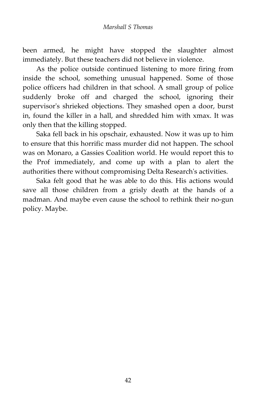been armed, he might have stopped the slaughter almost immediately. But these teachers did not believe in violence.

As the police outside continued listening to more firing from inside the school, something unusual happened. Some of those police officers had children in that school. A small group of police suddenly broke off and charged the school, ignoring their supervisor's shrieked objections. They smashed open a door, burst in, found the killer in a hall, and shredded him with xmax. It was only then that the killing stopped.

Saka fell back in his opschair, exhausted. Now it was up to him to ensure that this horrific mass murder did not happen. The school was on Monaro, a Gassies Coalition world. He would report this to the Prof immediately, and come up with a plan to alert the authorities there without compromising Delta Research's activities.

Saka felt good that he was able to do this. His actions would save all those children from a grisly death at the hands of a madman. And maybe even cause the school to rethink their no-gun policy. Maybe.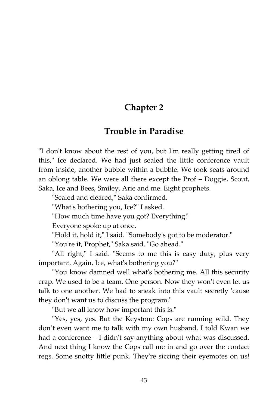#### **Chapter 2**

#### **Trouble in Paradise**

"I don't know about the rest of you, but I'm really getting tired of this," Ice declared. We had just sealed the little conference vault from inside, another bubble within a bubble. We took seats around an oblong table. We were all there except the Prof – Doggie, Scout, Saka, Ice and Bees, Smiley, Arie and me. Eight prophets.

"Sealed and cleared," Saka confirmed.

"What's bothering you, Ice?" I asked.

"How much time have you got? Everything!"

Everyone spoke up at once.

"Hold it, hold it," I said. "Somebody's got to be moderator."

"You're it, Prophet," Saka said. "Go ahead."

"All right," I said. "Seems to me this is easy duty, plus very important. Again, Ice, what's bothering you?"

"You know damned well what's bothering me. All this security crap. We used to be a team. One person. Now they won't even let us talk to one another. We had to sneak into this vault secretly 'cause they don't want us to discuss the program."

"But we all know how important this is."

"Yes, yes, yes. But the Keystone Cops are running wild. They don't even want me to talk with my own husband. I told Kwan we had a conference – I didn't say anything about what was discussed. And next thing I know the Cops call me in and go over the contact regs. Some snotty little punk. They're siccing their eyemotes on us!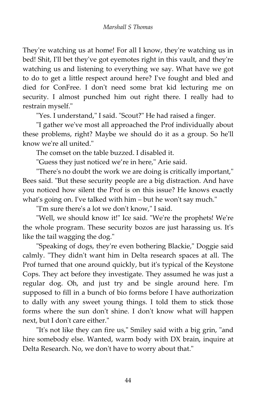They're watching us at home! For all I know, they're watching us in bed! Shit, I'll bet they've got eyemotes right in this vault, and they're watching us and listening to everything we say. What have we got to do to get a little respect around here? I've fought and bled and died for ConFree. I don't need some brat kid lecturing me on security. I almost punched him out right there. I really had to restrain myself."

"Yes. I understand," I said. "Scout?" He had raised a finger.

"I gather we've most all approached the Prof individually about these problems, right? Maybe we should do it as a group. So he'll know we're all united."

The comset on the table buzzed. I disabled it.

"Guess they just noticed we're in here," Arie said.

"There's no doubt the work we are doing is critically important," Bees said. "But these security people are a big distraction. And have you noticed how silent the Prof is on this issue? He knows exactly what's going on. I've talked with him – but he won't say much."

"I'm sure there's a lot we don't know," I said.

"Well, we should know it!" Ice said. "We're the prophets! We're the whole program. These security bozos are just harassing us. It's like the tail wagging the dog."

"Speaking of dogs, they're even bothering Blackie," Doggie said calmly. "They didn't want him in Delta research spaces at all. The Prof turned that one around quickly, but it's typical of the Keystone Cops. They act before they investigate. They assumed he was just a regular dog. Oh, and just try and be single around here. I'm supposed to fill in a bunch of bio forms before I have authorization to dally with any sweet young things. I told them to stick those forms where the sun don't shine. I don't know what will happen next, but I don't care either."

"It's not like they can fire us," Smiley said with a big grin, "and hire somebody else. Wanted, warm body with DX brain, inquire at Delta Research. No, we don't have to worry about that."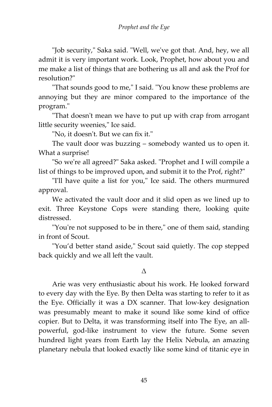"Job security," Saka said. "Well, we've got that. And, hey, we all admit it is very important work. Look, Prophet, how about you and me make a list of things that are bothering us all and ask the Prof for resolution?"

"That sounds good to me," I said. "You know these problems are annoying but they are minor compared to the importance of the program."

"That doesn't mean we have to put up with crap from arrogant little security weenies," Ice said.

"No, it doesn't. But we can fix it."

The vault door was buzzing – somebody wanted us to open it. What a surprise!

"So we're all agreed?" Saka asked. "Prophet and I will compile a list of things to be improved upon, and submit it to the Prof, right?"

"I'll have quite a list for you," Ice said. The others murmured approval.

We activated the vault door and it slid open as we lined up to exit. Three Keystone Cops were standing there, looking quite distressed.

"You're not supposed to be in there," one of them said, standing in front of Scout.

"You'd better stand aside," Scout said quietly. The cop stepped back quickly and we all left the vault.

#### Δ

Arie was very enthusiastic about his work. He looked forward to every day with the Eye. By then Delta was starting to refer to it as the Eye. Officially it was a DX scanner. That low-key designation was presumably meant to make it sound like some kind of office copier. But to Delta, it was transforming itself into The Eye, an allpowerful, god-like instrument to view the future. Some seven hundred light years from Earth lay the Helix Nebula, an amazing planetary nebula that looked exactly like some kind of titanic eye in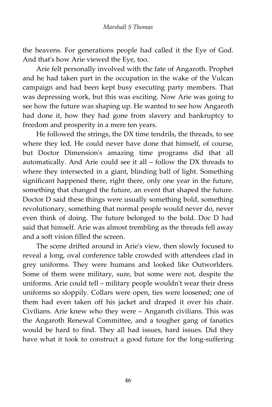the heavens. For generations people had called it the Eye of God. And that's how Arie viewed the Eye, too.

Arie felt personally involved with the fate of Angaroth. Prophet and he had taken part in the occupation in the wake of the Vulcan campaign and had been kept busy executing party members. That was depressing work, but this was exciting. Now Arie was going to see how the future was shaping up. He wanted to see how Angaroth had done it, how they had gone from slavery and bankruptcy to freedom and prosperity in a mere ten years.

He followed the strings, the DX time tendrils, the threads, to see where they led. He could never have done that himself, of course, but Doctor Dimension's amazing time programs did that all automatically. And Arie could see it all – follow the DX threads to where they intersected in a giant, blinding ball of light. Something significant happened there, right there, only one year in the future, something that changed the future, an event that shaped the future. Doctor D said these things were usually something bold, something revolutionary, something that normal people would never do, never even think of doing. The future belonged to the bold. Doc D had said that himself. Arie was almost trembling as the threads fell away and a soft vision filled the screen.

The scene drifted around in Arie's view, then slowly focused to reveal a long, oval conference table crowded with attendees clad in grey uniforms. They were humans and looked like Outworlders. Some of them were military, sure, but some were not, despite the uniforms. Arie could tell – military people wouldn't wear their dress uniforms so sloppily. Collars were open, ties were loosened; one of them had even taken off his jacket and draped it over his chair. Civilians. Arie knew who they were – Angaroth civilians. This was the Angaroth Renewal Committee, and a tougher gang of fanatics would be hard to find. They all had issues, hard issues. Did they have what it took to construct a good future for the long-suffering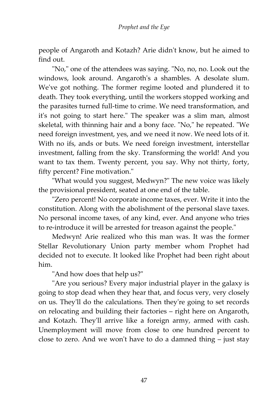people of Angaroth and Kotazh? Arie didn't know, but he aimed to find out.

"No," one of the attendees was saying. "No, no, no. Look out the windows, look around. Angaroth's a shambles. A desolate slum. We've got nothing. The former regime looted and plundered it to death. They took everything, until the workers stopped working and the parasites turned full-time to crime. We need transformation, and it's not going to start here." The speaker was a slim man, almost skeletal, with thinning hair and a bony face. "No," he repeated. "We need foreign investment, yes, and we need it now. We need lots of it. With no ifs, ands or buts. We need foreign investment, interstellar investment, falling from the sky. Transforming the world! And you want to tax them. Twenty percent, you say. Why not thirty, forty, fifty percent? Fine motivation."

"What would you suggest, Medwyn?" The new voice was likely the provisional president, seated at one end of the table.

"Zero percent! No corporate income taxes, ever. Write it into the constitution. Along with the abolishment of the personal slave taxes. No personal income taxes, of any kind, ever. And anyone who tries to re-introduce it will be arrested for treason against the people."

Medwyn! Arie realized who this man was. It was the former Stellar Revolutionary Union party member whom Prophet had decided not to execute. It looked like Prophet had been right about him.

"And how does that help us?"

"Are you serious? Every major industrial player in the galaxy is going to stop dead when they hear that, and focus very, very closely on us. They'll do the calculations. Then they're going to set records on relocating and building their factories – right here on Angaroth, and Kotazh. They'll arrive like a foreign army, armed with cash. Unemployment will move from close to one hundred percent to close to zero. And we won't have to do a damned thing – just stay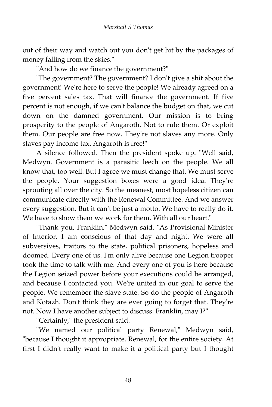out of their way and watch out you don't get hit by the packages of money falling from the skies."

"And how do we finance the government?"

"The government? The government? I don't give a shit about the government! We're here to serve the people! We already agreed on a five percent sales tax. That will finance the government. If five percent is not enough, if we can't balance the budget on that, we cut down on the damned government. Our mission is to bring prosperity to the people of Angaroth. Not to rule them. Or exploit them. Our people are free now. They're not slaves any more. Only slaves pay income tax. Angaroth is free!"

A silence followed. Then the president spoke up. "Well said, Medwyn. Government is a parasitic leech on the people. We all know that, too well. But I agree we must change that. We must serve the people. Your suggestion boxes were a good idea. They're sprouting all over the city. So the meanest, most hopeless citizen can communicate directly with the Renewal Committee. And we answer every suggestion. But it can't be just a motto. We have to really do it. We have to show them we work for them. With all our heart."

"Thank you, Franklin," Medwyn said. "As Provisional Minister of Interior, I am conscious of that day and night. We were all subversives, traitors to the state, political prisoners, hopeless and doomed. Every one of us. I'm only alive because one Legion trooper took the time to talk with me. And every one of you is here because the Legion seized power before your executions could be arranged, and because I contacted you. We're united in our goal to serve the people. We remember the slave state. So do the people of Angaroth and Kotazh. Don't think they are ever going to forget that. They're not. Now I have another subject to discuss. Franklin, may I?"

"Certainly," the president said.

"We named our political party Renewal," Medwyn said, "because I thought it appropriate. Renewal, for the entire society. At first I didn't really want to make it a political party but I thought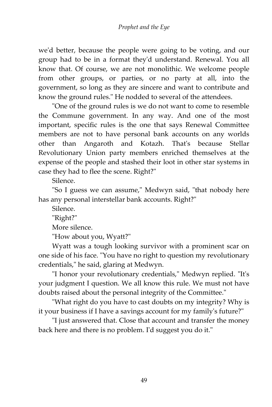we'd better, because the people were going to be voting, and our group had to be in a format they'd understand. Renewal. You all know that. Of course, we are not monolithic. We welcome people from other groups, or parties, or no party at all, into the government, so long as they are sincere and want to contribute and know the ground rules." He nodded to several of the attendees.

"One of the ground rules is we do not want to come to resemble the Commune government. In any way. And one of the most important, specific rules is the one that says Renewal Committee members are not to have personal bank accounts on any worlds other than Angaroth and Kotazh. That's because Stellar Revolutionary Union party members enriched themselves at the expense of the people and stashed their loot in other star systems in case they had to flee the scene. Right?"

Silence.

"So I guess we can assume," Medwyn said, "that nobody here has any personal interstellar bank accounts. Right?"

Silence.

"Right?"

More silence.

"How about you, Wyatt?"

Wyatt was a tough looking survivor with a prominent scar on one side of his face. "You have no right to question my revolutionary credentials," he said, glaring at Medwyn.

"I honor your revolutionary credentials," Medwyn replied. "It's your judgment I question. We all know this rule. We must not have doubts raised about the personal integrity of the Committee."

"What right do you have to cast doubts on my integrity? Why is it your business if I have a savings account for my family's future?"

"I just answered that. Close that account and transfer the money back here and there is no problem. I'd suggest you do it."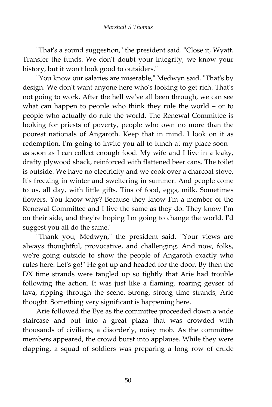"That's a sound suggestion," the president said. "Close it, Wyatt. Transfer the funds. We don't doubt your integrity, we know your history, but it won't look good to outsiders."

"You know our salaries are miserable," Medwyn said. "That's by design. We don't want anyone here who's looking to get rich. That's not going to work. After the hell we've all been through, we can see what can happen to people who think they rule the world – or to people who actually do rule the world. The Renewal Committee is looking for priests of poverty, people who own no more than the poorest nationals of Angaroth. Keep that in mind. I look on it as redemption. I'm going to invite you all to lunch at my place soon – as soon as I can collect enough food. My wife and I live in a leaky, drafty plywood shack, reinforced with flattened beer cans. The toilet is outside. We have no electricity and we cook over a charcoal stove. It's freezing in winter and sweltering in summer. And people come to us, all day, with little gifts. Tins of food, eggs, milk. Sometimes flowers. You know why? Because they know I'm a member of the Renewal Committee and I live the same as they do. They know I'm on their side, and they're hoping I'm going to change the world. I'd suggest you all do the same."

"Thank you, Medwyn," the president said. "Your views are always thoughtful, provocative, and challenging. And now, folks, we're going outside to show the people of Angaroth exactly who rules here. Let's go!" He got up and headed for the door. By then the DX time strands were tangled up so tightly that Arie had trouble following the action. It was just like a flaming, roaring geyser of lava, ripping through the scene. Strong, strong time strands, Arie thought. Something very significant is happening here.

Arie followed the Eye as the committee proceeded down a wide staircase and out into a great plaza that was crowded with thousands of civilians, a disorderly, noisy mob. As the committee members appeared, the crowd burst into applause. While they were clapping, a squad of soldiers was preparing a long row of crude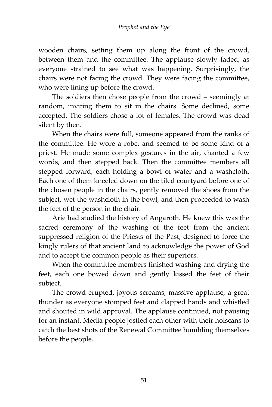wooden chairs, setting them up along the front of the crowd, between them and the committee. The applause slowly faded, as everyone strained to see what was happening. Surprisingly, the chairs were not facing the crowd. They were facing the committee, who were lining up before the crowd.

The soldiers then chose people from the crowd – seemingly at random, inviting them to sit in the chairs. Some declined, some accepted. The soldiers chose a lot of females. The crowd was dead silent by then.

When the chairs were full, someone appeared from the ranks of the committee. He wore a robe, and seemed to be some kind of a priest. He made some complex gestures in the air, chanted a few words, and then stepped back. Then the committee members all stepped forward, each holding a bowl of water and a washcloth. Each one of them kneeled down on the tiled courtyard before one of the chosen people in the chairs, gently removed the shoes from the subject, wet the washcloth in the bowl, and then proceeded to wash the feet of the person in the chair.

Arie had studied the history of Angaroth. He knew this was the sacred ceremony of the washing of the feet from the ancient suppressed religion of the Priests of the Past, designed to force the kingly rulers of that ancient land to acknowledge the power of God and to accept the common people as their superiors.

When the committee members finished washing and drying the feet, each one bowed down and gently kissed the feet of their subject.

The crowd erupted, joyous screams, massive applause, a great thunder as everyone stomped feet and clapped hands and whistled and shouted in wild approval. The applause continued, not pausing for an instant. Media people jostled each other with their holscans to catch the best shots of the Renewal Committee humbling themselves before the people.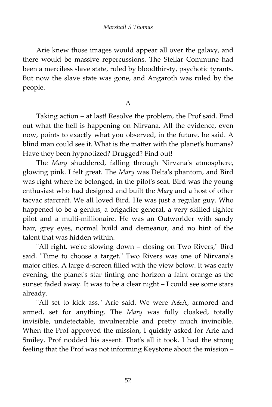Arie knew those images would appear all over the galaxy, and there would be massive repercussions. The Stellar Commune had been a merciless slave state, ruled by bloodthirsty, psychotic tyrants. But now the slave state was gone, and Angaroth was ruled by the people.

Δ

Taking action – at last! Resolve the problem, the Prof said. Find out what the hell is happening on Nirvana. All the evidence, even now, points to exactly what you observed, in the future, he said. A blind man could see it. What is the matter with the planet's humans? Have they been hypnotized? Drugged? Find out!

The *Mary* shuddered, falling through Nirvana's atmosphere, glowing pink. I felt great. The *Mary* was Delta's phantom, and Bird was right where he belonged, in the pilot's seat. Bird was the young enthusiast who had designed and built the *Mary* and a host of other tacvac starcraft. We all loved Bird. He was just a regular guy. Who happened to be a genius, a brigadier general, a very skilled fighter pilot and a multi-millionaire. He was an Outworlder with sandy hair, grey eyes, normal build and demeanor, and no hint of the talent that was hidden within.

"All right, we're slowing down – closing on Two Rivers," Bird said. "Time to choose a target." Two Rivers was one of Nirvana's major cities. A large d-screen filled with the view below. It was early evening, the planet's star tinting one horizon a faint orange as the sunset faded away. It was to be a clear night – I could see some stars already.

"All set to kick ass," Arie said. We were A&A, armored and armed, set for anything. The *Mary* was fully cloaked, totally invisible, undetectable, invulnerable and pretty much invincible. When the Prof approved the mission, I quickly asked for Arie and Smiley. Prof nodded his assent. That's all it took. I had the strong feeling that the Prof was not informing Keystone about the mission –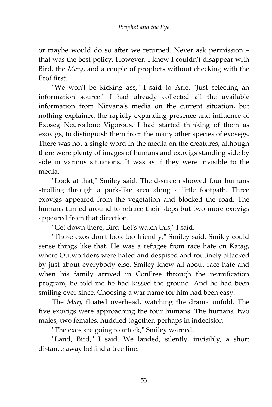or maybe would do so after we returned. Never ask permission – that was the best policy. However, I knew I couldn't disappear with Bird, the *Mary*, and a couple of prophets without checking with the Prof first.

"We won't be kicking ass," I said to Arie. "Just selecting an information source." I had already collected all the available information from Nirvana's media on the current situation, but nothing explained the rapidly expanding presence and influence of Exoseg Neuroclone Vigorous. I had started thinking of them as exovigs, to distinguish them from the many other species of exosegs. There was not a single word in the media on the creatures, although there were plenty of images of humans and exovigs standing side by side in various situations. It was as if they were invisible to the media.

"Look at that," Smiley said. The d-screen showed four humans strolling through a park-like area along a little footpath. Three exovigs appeared from the vegetation and blocked the road. The humans turned around to retrace their steps but two more exovigs appeared from that direction.

"Get down there, Bird. Let's watch this," I said.

"Those exos don't look too friendly," Smiley said. Smiley could sense things like that. He was a refugee from race hate on Katag, where Outworlders were hated and despised and routinely attacked by just about everybody else. Smiley knew all about race hate and when his family arrived in ConFree through the reunification program, he told me he had kissed the ground. And he had been smiling ever since. Choosing a war name for him had been easy.

The *Mary* floated overhead, watching the drama unfold. The five exovigs were approaching the four humans. The humans, two males, two females, huddled together, perhaps in indecision.

"The exos are going to attack," Smiley warned.

"Land, Bird," I said. We landed, silently, invisibly, a short distance away behind a tree line.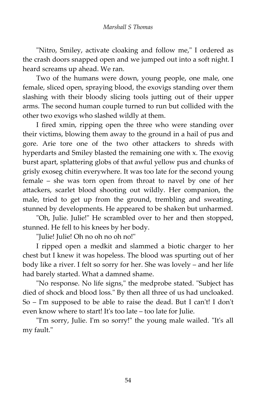"Nitro, Smiley, activate cloaking and follow me," I ordered as the crash doors snapped open and we jumped out into a soft night. I heard screams up ahead. We ran.

Two of the humans were down, young people, one male, one female, sliced open, spraying blood, the exovigs standing over them slashing with their bloody slicing tools jutting out of their upper arms. The second human couple turned to run but collided with the other two exovigs who slashed wildly at them.

I fired xmin, ripping open the three who were standing over their victims, blowing them away to the ground in a hail of pus and gore. Arie tore one of the two other attackers to shreds with hyperdarts and Smiley blasted the remaining one with x. The exovig burst apart, splattering globs of that awful yellow pus and chunks of grisly exoseg chitin everywhere. It was too late for the second young female – she was torn open from throat to navel by one of her attackers, scarlet blood shooting out wildly. Her companion, the male, tried to get up from the ground, trembling and sweating, stunned by developments. He appeared to be shaken but unharmed.

"Oh, Julie. Julie!" He scrambled over to her and then stopped, stunned. He fell to his knees by her body.

"Julie! Julie! Oh no oh no oh no!"

I ripped open a medkit and slammed a biotic charger to her chest but I knew it was hopeless. The blood was spurting out of her body like a river. I felt so sorry for her. She was lovely – and her life had barely started. What a damned shame.

"No response. No life signs," the medprobe stated. "Subject has died of shock and blood loss." By then all three of us had uncloaked. So – I'm supposed to be able to raise the dead. But I can't! I don't even know where to start! It's too late – too late for Julie.

"I'm sorry, Julie. I'm so sorry!" the young male wailed. "It's all my fault."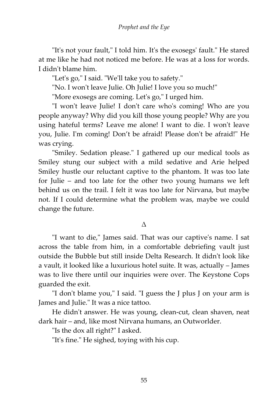"It's not your fault," I told him. It's the exosegs' fault." He stared at me like he had not noticed me before. He was at a loss for words. I didn't blame him.

"Let's go," I said. "We'll take you to safety."

"No. I won't leave Julie. Oh Julie! I love you so much!"

"More exosegs are coming. Let's go," I urged him.

"I won't leave Julie! I don't care who's coming! Who are you people anyway? Why did you kill those young people? Why are you using hateful terms? Leave me alone! I want to die. I won't leave you, Julie. I'm coming! Don't be afraid! Please don't be afraid!" He was crying.

"Smiley. Sedation please." I gathered up our medical tools as Smiley stung our subject with a mild sedative and Arie helped Smiley hustle our reluctant captive to the phantom. It was too late for Julie – and too late for the other two young humans we left behind us on the trail. I felt it was too late for Nirvana, but maybe not. If I could determine what the problem was, maybe we could change the future.

#### Δ

"I want to die," James said. That was our captive's name. I sat across the table from him, in a comfortable debriefing vault just outside the Bubble but still inside Delta Research. It didn't look like a vault, it looked like a luxurious hotel suite. It was, actually – James was to live there until our inquiries were over. The Keystone Cops guarded the exit.

"I don't blame you," I said. "I guess the J plus J on your arm is James and Julie." It was a nice tattoo.

He didn't answer. He was young, clean-cut, clean shaven, neat dark hair – and, like most Nirvana humans, an Outworlder.

"Is the dox all right?" I asked.

"It's fine." He sighed, toying with his cup.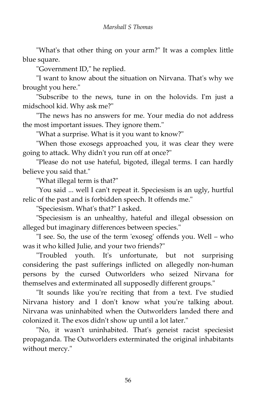"What's that other thing on your arm?" It was a complex little blue square.

"Government ID," he replied.

"I want to know about the situation on Nirvana. That's why we brought you here."

"Subscribe to the news, tune in on the holovids. I'm just a midschool kid. Why ask me?"

"The news has no answers for me. Your media do not address the most important issues. They ignore them."

"What a surprise. What is it you want to know?"

"When those exosegs approached you, it was clear they were going to attack. Why didn't you run off at once?"

"Please do not use hateful, bigoted, illegal terms. I can hardly believe you said that."

"What illegal term is that?"

"You said ... well I can't repeat it. Speciesism is an ugly, hurtful relic of the past and is forbidden speech. It offends me."

"Speciesism. What's that?" I asked.

"Speciesism is an unhealthy, hateful and illegal obsession on alleged but imaginary differences between species."

"I see. So, the use of the term 'exoseg' offends you. Well – who was it who killed Julie, and your two friends?"

"Troubled youth. It's unfortunate, but not surprising considering the past sufferings inflicted on allegedly non-human persons by the cursed Outworlders who seized Nirvana for themselves and exterminated all supposedly different groups."

"It sounds like you're reciting that from a text. I've studied Nirvana history and I don't know what you're talking about. Nirvana was uninhabited when the Outworlders landed there and colonized it. The exos didn't show up until a lot later."

"No, it wasn't uninhabited. That's geneist racist speciesist propaganda. The Outworlders exterminated the original inhabitants without mercy."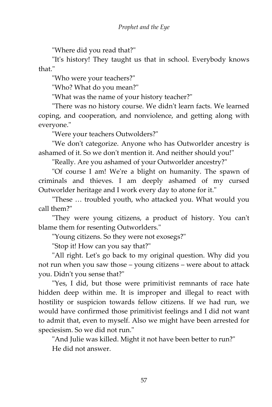"Where did you read that?"

"It's history! They taught us that in school. Everybody knows that."

"Who were your teachers?"

"Who? What do you mean?"

"What was the name of your history teacher?"

"There was no history course. We didn't learn facts. We learned coping, and cooperation, and nonviolence, and getting along with everyone."

"Were your teachers Outwolders?"

"We don't categorize. Anyone who has Outworlder ancestry is ashamed of it. So we don't mention it. And neither should you!"

"Really. Are you ashamed of your Outworlder ancestry?"

"Of course I am! We're a blight on humanity. The spawn of criminals and thieves. I am deeply ashamed of my cursed Outworlder heritage and I work every day to atone for it."

"These … troubled youth, who attacked you. What would you call them?"

"They were young citizens, a product of history. You can't blame them for resenting Outworlders."

"Young citizens. So they were not exosegs?"

"Stop it! How can you say that?"

"All right. Let's go back to my original question. Why did you not run when you saw those – young citizens – were about to attack you. Didn't you sense that?"

"Yes, I did, but those were primitivist remnants of race hate hidden deep within me. It is improper and illegal to react with hostility or suspicion towards fellow citizens. If we had run, we would have confirmed those primitivist feelings and I did not want to admit that, even to myself. Also we might have been arrested for speciesism. So we did not run."

"And Julie was killed. Might it not have been better to run?" He did not answer.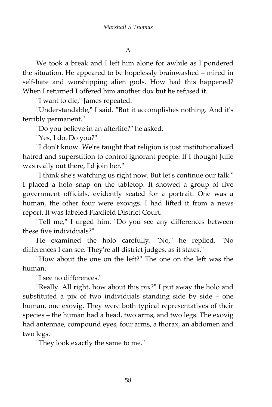Δ

We took a break and I left him alone for awhile as I pondered the situation. He appeared to be hopelessly brainwashed – mired in self-hate and worshipping alien gods. How had this happened? When I returned I offered him another dox but he refused it.

"I want to die," James repeated.

"Understandable," I said. "But it accomplishes nothing. And it's terribly permanent."

"Do you believe in an afterlife?" he asked.

"Yes, I do. Do you?"

"I don't know. We're taught that religion is just institutionalized hatred and superstition to control ignorant people. If I thought Julie was really out there, I'd join her."

"I think she's watching us right now. But let's continue our talk." I placed a holo snap on the tabletop. It showed a group of five government officials, evidently seated for a portrait. One was a human, the other four were exovigs. I had lifted it from a news report. It was labeled Flaxfield District Court.

"Tell me," I urged him. "Do you see any differences between these five individuals?"

He examined the holo carefully. "No," he replied. "No differences I can see. They're all district judges, as it states."

"How about the one on the left?" The one on the left was the human.

"I see no differences."

"Really. All right, how about this pix?" I put away the holo and substituted a pix of two individuals standing side by side – one human, one exovig. They were both typical representatives of their species – the human had a head, two arms, and two legs. The exovig had antennae, compound eyes, four arms, a thorax, an abdomen and two legs.

"They look exactly the same to me."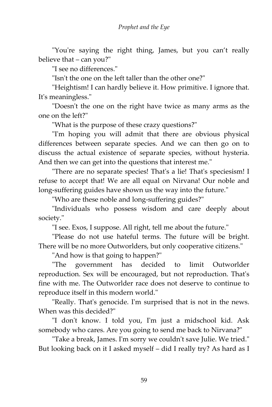"You're saying the right thing, James, but you can't really believe that – can you?"

"I see no differences."

"Isn't the one on the left taller than the other one?"

"Heightism! I can hardly believe it. How primitive. I ignore that. It's meaningless."

"Doesn't the one on the right have twice as many arms as the one on the left?"

"What is the purpose of these crazy questions?"

"I'm hoping you will admit that there are obvious physical differences between separate species. And we can then go on to discuss the actual existence of separate species, without hysteria. And then we can get into the questions that interest me."

"There are no separate species! That's a lie! That's speciesism! I refuse to accept that! We are all equal on Nirvana! Our noble and long-suffering guides have shown us the way into the future."

"Who are these noble and long-suffering guides?"

"Individuals who possess wisdom and care deeply about society."

"I see. Exos, I suppose. All right, tell me about the future."

"Please do not use hateful terms. The future will be bright. There will be no more Outworlders, but only cooperative citizens."

"And how is that going to happen?"

"The government has decided to limit Outworlder reproduction. Sex will be encouraged, but not reproduction. That's fine with me. The Outworlder race does not deserve to continue to reproduce itself in this modern world."

"Really. That's genocide. I'm surprised that is not in the news. When was this decided?"

"I don't know. I told you, I'm just a midschool kid. Ask somebody who cares. Are you going to send me back to Nirvana?"

"Take a break, James. I'm sorry we couldn't save Julie. We tried." But looking back on it I asked myself – did I really try? As hard as I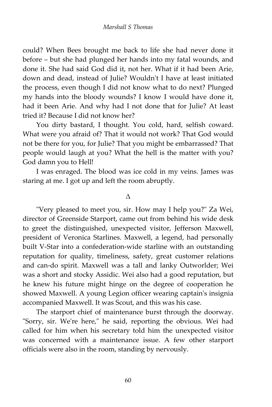could? When Bees brought me back to life she had never done it before – but she had plunged her hands into my fatal wounds, and done it. She had said God did it, not her. What if it had been Arie, down and dead, instead of Julie? Wouldn't I have at least initiated the process, even though I did not know what to do next? Plunged my hands into the bloody wounds? I know I would have done it, had it been Arie. And why had I not done that for Julie? At least tried it? Because I did not know her?

You dirty bastard, I thought. You cold, hard, selfish coward. What were you afraid of? That it would not work? That God would not be there for you, for Julie? That you might be embarrassed? That people would laugh at you? What the hell is the matter with you? God damn you to Hell!

I was enraged. The blood was ice cold in my veins. James was staring at me. I got up and left the room abruptly.

#### Δ

"Very pleased to meet you, sir. How may I help you?" Za Wei, director of Greenside Starport, came out from behind his wide desk to greet the distinguished, unexpected visitor, Jefferson Maxwell, president of Veronica Starlines. Maxwell, a legend, had personally built V-Star into a confederation-wide starline with an outstanding reputation for quality, timeliness, safety, great customer relations and can-do spirit. Maxwell was a tall and lanky Outworlder; Wei was a short and stocky Assidic. Wei also had a good reputation, but he knew his future might hinge on the degree of cooperation he showed Maxwell. A young Legion officer wearing captain's insignia accompanied Maxwell. It was Scout, and this was his case.

The starport chief of maintenance burst through the doorway. "Sorry, sir. We're here," he said, reporting the obvious. Wei had called for him when his secretary told him the unexpected visitor was concerned with a maintenance issue. A few other starport officials were also in the room, standing by nervously.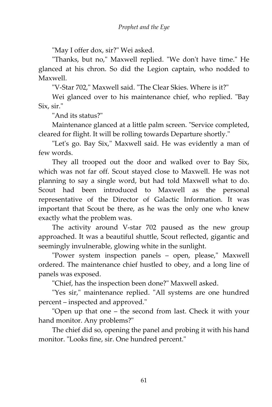"May I offer dox, sir?" Wei asked.

"Thanks, but no," Maxwell replied. "We don't have time." He glanced at his chron. So did the Legion captain, who nodded to Maxwell.

"V-Star 702," Maxwell said. "The Clear Skies. Where is it?"

Wei glanced over to his maintenance chief, who replied. "Bay Six, sir."

"And its status?"

Maintenance glanced at a little palm screen. "Service completed, cleared for flight. It will be rolling towards Departure shortly."

"Let's go. Bay Six," Maxwell said. He was evidently a man of few words.

They all trooped out the door and walked over to Bay Six, which was not far off. Scout stayed close to Maxwell. He was not planning to say a single word, but had told Maxwell what to do. Scout had been introduced to Maxwell as the personal representative of the Director of Galactic Information. It was important that Scout be there, as he was the only one who knew exactly what the problem was.

The activity around V-star 702 paused as the new group approached. It was a beautiful shuttle, Scout reflected, gigantic and seemingly invulnerable, glowing white in the sunlight.

"Power system inspection panels – open, please," Maxwell ordered. The maintenance chief hustled to obey, and a long line of panels was exposed.

"Chief, has the inspection been done?" Maxwell asked.

"Yes sir," maintenance replied. "All systems are one hundred percent – inspected and approved."

"Open up that one – the second from last. Check it with your hand monitor. Any problems?"

The chief did so, opening the panel and probing it with his hand monitor. "Looks fine, sir. One hundred percent."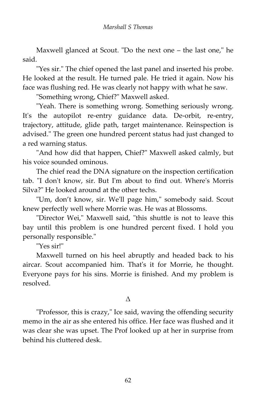Maxwell glanced at Scout. "Do the next one – the last one," he said.

"Yes sir." The chief opened the last panel and inserted his probe. He looked at the result. He turned pale. He tried it again. Now his face was flushing red. He was clearly not happy with what he saw.

"Something wrong, Chief?" Maxwell asked.

"Yeah. There is something wrong. Something seriously wrong. It's the autopilot re-entry guidance data. De-orbit, re-entry, trajectory, attitude, glide path, target maintenance. Reinspection is advised." The green one hundred percent status had just changed to a red warning status.

"And how did that happen, Chief?" Maxwell asked calmly, but his voice sounded ominous.

The chief read the DNA signature on the inspection certification tab. "I don't know, sir. But I'm about to find out. Where's Morris Silva?" He looked around at the other techs.

"Um, don't know, sir. We'll page him," somebody said. Scout knew perfectly well where Morrie was. He was at Blossoms.

"Director Wei," Maxwell said, "this shuttle is not to leave this bay until this problem is one hundred percent fixed. I hold you personally responsible."

"Yes sir!"

Maxwell turned on his heel abruptly and headed back to his aircar. Scout accompanied him. That's it for Morrie, he thought. Everyone pays for his sins. Morrie is finished. And my problem is resolved.

#### Δ

"Professor, this is crazy," Ice said, waving the offending security memo in the air as she entered his office. Her face was flushed and it was clear she was upset. The Prof looked up at her in surprise from behind his cluttered desk.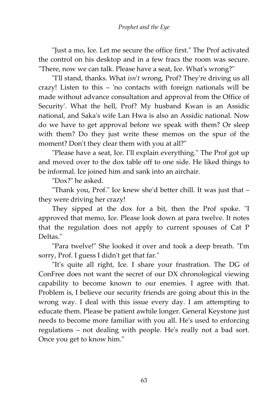"Just a mo, Ice. Let me secure the office first." The Prof activated the control on his desktop and in a few fracs the room was secure. "There, now we can talk. Please have a seat, Ice. What's wrong?"

"I'll stand, thanks. What *isn*'*t* wrong, Prof? They're driving us all crazy! Listen to this – 'no contacts with foreign nationals will be made without advance consultation and approval from the Office of Security'. What the hell, Prof? My husband Kwan is an Assidic national, and Saka's wife Lan Hwa is also an Assidic national. Now do we have to get approval before we speak with them? Or sleep with them? Do they just write these memos on the spur of the moment? Don't they clear them with you at all?"

"Please have a seat, Ice. I'll explain everything." The Prof got up and moved over to the dox table off to one side. He liked things to be informal. Ice joined him and sank into an airchair.

"Dox?" he asked.

"Thank you, Prof." Ice knew she'd better chill. It was just that – they were driving her crazy!

They sipped at the dox for a bit, then the Prof spoke. "I approved that memo, Ice. Please look down at para twelve. It notes that the regulation does not apply to current spouses of Cat P Deltas."

"Para twelve!" She looked it over and took a deep breath. "I'm sorry, Prof. I guess I didn't get that far."

"It's quite all right, Ice. I share your frustration. The DG of ConFree does not want the secret of our DX chronological viewing capability to become known to our enemies. I agree with that. Problem is, I believe our security friends are going about this in the wrong way. I deal with this issue every day. I am attempting to educate them. Please be patient awhile longer. General Keystone just needs to become more familiar with you all. He's used to enforcing regulations – not dealing with people. He's really not a bad sort. Once you get to know him."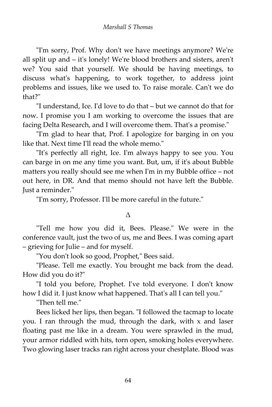"I'm sorry, Prof. Why don't we have meetings anymore? We're all split up and – it's lonely! We're blood brothers and sisters, aren't we? You said that yourself. We should be having meetings, to discuss what's happening, to work together, to address joint problems and issues, like we used to. To raise morale. Can't we do that?"

"I understand, Ice. I'd love to do that – but we cannot do that for now. I promise you I am working to overcome the issues that are facing Delta Research, and I will overcome them. That's a promise."

"I'm glad to hear that, Prof. I apologize for barging in on you like that. Next time I'll read the whole memo."

"It's perfectly all right, Ice. I'm always happy to see you. You can barge in on me any time you want. But, um, if it's about Bubble matters you really should see me when I'm in my Bubble office – not out here, in DR. And that memo should not have left the Bubble. Just a reminder."

"I'm sorry, Professor. I'll be more careful in the future."

#### Δ

"Tell me how you did it, Bees. Please." We were in the conference vault, just the two of us, me and Bees. I was coming apart – grieving for Julie – and for myself.

"You don't look so good, Prophet," Bees said.

"Please. Tell me exactly. You brought me back from the dead. How did you do it?"

"I told you before, Prophet. I've told everyone. I don't know how I did it. I just know what happened. That's all I can tell you."

"Then tell me."

Bees licked her lips, then began. "I followed the tacmap to locate you. I ran through the mud, through the dark, with x and laser floating past me like in a dream. You were sprawled in the mud, your armor riddled with hits, torn open, smoking holes everywhere. Two glowing laser tracks ran right across your chestplate. Blood was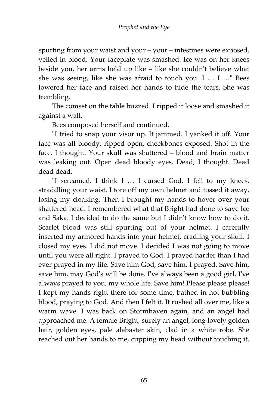spurting from your waist and your – your – intestines were exposed, veiled in blood. Your faceplate was smashed. Ice was on her knees beside you, her arms held up like – like she couldn't believe what she was seeing, like she was afraid to touch you. I … I …" Bees lowered her face and raised her hands to hide the tears. She was trembling.

The comset on the table buzzed. I ripped it loose and smashed it against a wall.

Bees composed herself and continued.

"I tried to snap your visor up. It jammed. I yanked it off. Your face was all bloody, ripped open, cheekbones exposed. Shot in the face, I thought. Your skull was shattered – blood and brain matter was leaking out. Open dead bloody eyes. Dead, I thought. Dead dead dead.

"I screamed. I think I … I cursed God. I fell to my knees, straddling your waist. I tore off my own helmet and tossed it away, losing my cloaking. Then I brought my hands to hover over your shattered head. I remembered what that Bright had done to save Ice and Saka. I decided to do the same but I didn't know how to do it. Scarlet blood was still spurting out of your helmet. I carefully inserted my armored hands into your helmet, cradling your skull. I closed my eyes. I did not move. I decided I was not going to move until you were all right. I prayed to God. I prayed harder than I had ever prayed in my life. Save him God, save him, I prayed. Save him, save him, may God's will be done. I've always been a good girl, I've always prayed to you, my whole life. Save him! Please please please! I kept my hands right there for some time, bathed in hot bubbling blood, praying to God. And then I felt it. It rushed all over me, like a warm wave. I was back on Stormhaven again, and an angel had approached me. A female Bright, surely an angel, long lovely golden hair, golden eyes, pale alabaster skin, clad in a white robe. She reached out her hands to me, cupping my head without touching it.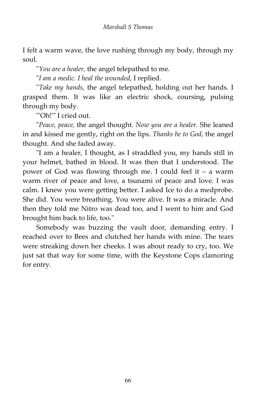I felt a warm wave, the love rushing through my body, through my soul.

"*You are a healer,* the angel telepathed to me.

"*I am a medic. I heal the wounded,* I replied.

"*Take my hands,* the angel telepathed, holding out her hands. I grasped them. It was like an electric shock, coursing, pulsing through my body.

"'Oh!'" I cried out.

"*Peace, peace,* the angel thought. *Now you are a healer.* She leaned in and kissed me gently, right on the lips. *Thanks be to God,* the angel thought. And she faded away.

"I am a healer, I thought, as I straddled you, my hands still in your helmet, bathed in blood. It was then that I understood. The power of God was flowing through me. I could feel it – a warm warm river of peace and love, a tsunami of peace and love. I was calm. I knew you were getting better. I asked Ice to do a medprobe. She did. You were breathing. You were alive. It was a miracle. And then they told me Nitro was dead too, and I went to him and God brought him back to life, too."

Somebody was buzzing the vault door, demanding entry. I reached over to Bees and clutched her hands with mine. The tears were streaking down her cheeks. I was about ready to cry, too. We just sat that way for some time, with the Keystone Cops clamoring for entry.